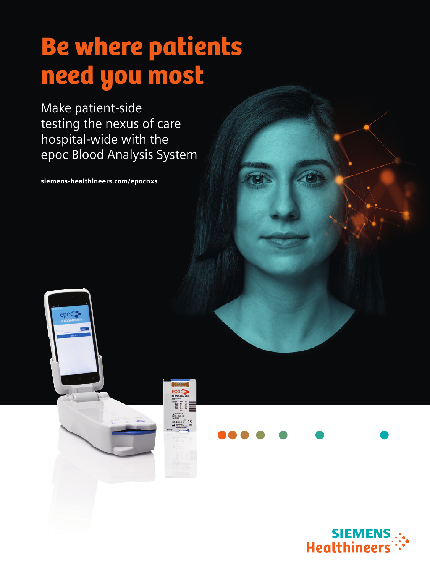# Be where patients need you most

Make patient-side testing the nexus of care hospital-wide with the epoc Blood Analysis System

siemens-healthineers.com/epocnxs



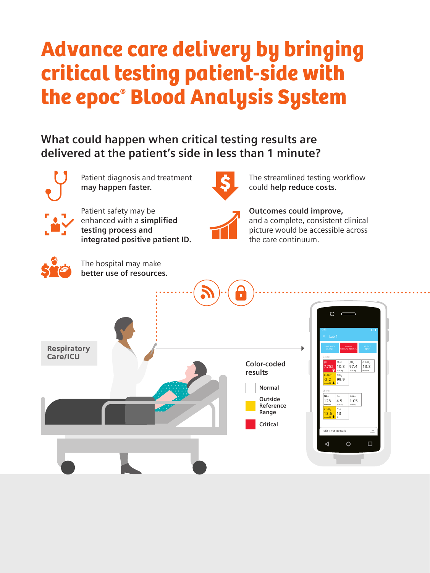# Advance care delivery by bringing critical testing patient-side with the epoc® Blood Analysis System

**What could happen when critical testing results are delivered at the patient's side in less than 1 minute?**

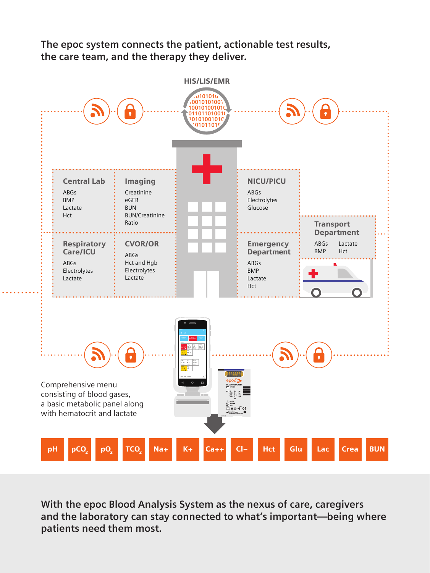**The epoc system connects the patient, actionable test results, the care team, and the therapy they deliver.**



**With the epoc Blood Analysis System as the nexus of care, caregivers and the laboratory can stay connected to what's important—being where patients need them most.**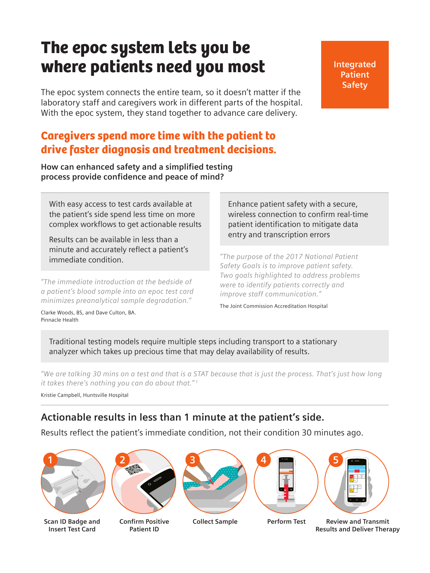# The epoc system lets you be where patients need you most

The epoc system connects the entire team, so it doesn't matter if the laboratory staff and caregivers work in different parts of the hospital. With the epoc system, they stand together to advance care delivery.

## Caregivers spend more time with the patient to drive faster diagnosis and treatment decisions.

**How can enhanced safety and a simplified testing process provide confidence and peace of mind?** 

With easy access to test cards available at the patient's side spend less time on more complex workflows to get actionable results

Results can be available in less than a minute and accurately reflect a patient's immediate condition.

*"The immediate introduction at the bedside of a patient's blood sample into an epoc test card minimizes preanalytical sample degradation."*

Clarke Woods, BS, and Dave Culton, BA. Pinnacle Health

Enhance patient safety with a secure, wireless connection to confirm real-time patient identification to mitigate data entry and transcription errors

*"The purpose of the 2017 National Patient Safety Goals is to improve patient safety. Two goals highlighted to address problems were to identify patients correctly and improve staff communication."*

The Joint Commission Accreditation Hospital

Traditional testing models require multiple steps including transport to a stationary analyzer which takes up precious time that may delay availability of results.

*"We are talking 30 mins on a test and that is a STAT because that is just the process. That's just how long it takes there's nothing you can do about that." <sup>1</sup>*

Kristie Campbell, Huntsville Hospital

### **Actionable results in less than 1 minute at the patient's side.**

Results reflect the patient's immediate condition, not their condition 30 minutes ago.



**Scan ID Badge and Insert Test Card**



**Confirm Positive Patient ID**







**Collect Sample Perform Test Review and Transmit Results and Deliver Therapy**

**Integrated Patient Safety**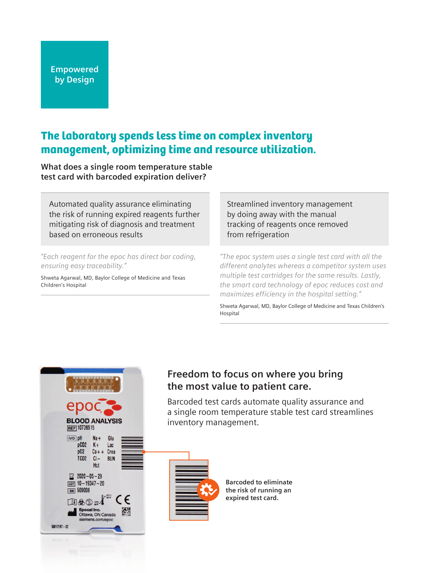#### **Empowered by Design**

## The laboratory spends less time on complex inventory management, optimizing time and resource utilization.

**What does a single room temperature stable test card with barcoded expiration deliver?**

Automated quality assurance eliminating the risk of running expired reagents further mitigating risk of diagnosis and treatment based on erroneous results

*"Each reagent for the epoc has direct bar coding, ensuring easy traceability."* 

Shweta Agarwal, MD, Baylor College of Medicine and Texas Children's Hospital

Streamlined inventory management by doing away with the manual tracking of reagents once removed from refrigeration

*"The epoc system uses a single test card with all the different analytes whereas a competitor system uses multiple test cartridges for the same results. Lastly, the smart card technology of epoc reduces cost and maximizes efficiency in the hospital setting."* 

Shweta Agarwal, MD, Baylor College of Medicine and Texas Children's Hospital



#### **Freedom to focus on where you bring the most value to patient care.**

Barcoded test cards automate quality assurance and a single room temperature stable test card streamlines inventory management.



**Barcoded to eliminate the risk of running an expired test card.**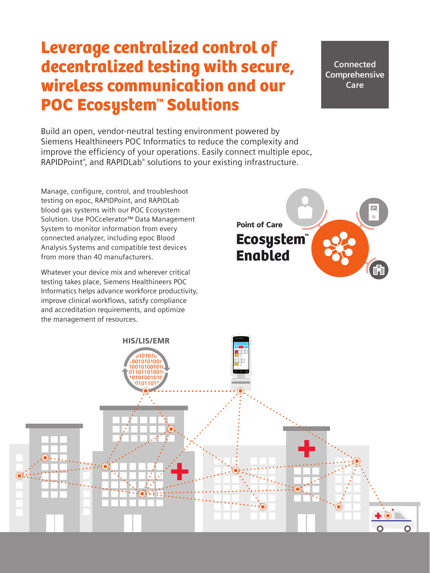# Leverage centralized control of decentralized testing with secure, wireless communication and our POC Ecosystem™ Solutions

**Connected Comprehensive Care**

Build an open, vendor-neutral testing environment powered by Siemens Healthineers POC Informatics to reduce the complexity and improve the efficiency of your operations. Easily connect multiple epoc, RAPIDPoint® , and RAPIDLab® solutions to your existing infrastructure.

Manage, configure, control, and troubleshoot testing on epoc, RAPIDPoint, and RAPIDLab blood gas systems with our POC Ecosystem Solution. Use POCcelerator™ Data Management System to monitor information from every connected analyzer, including epoc Blood Analysis Systems and compatible test devices from more than 40 manufacturers.

Whatever your device mix and wherever critical testing takes place, Siemens Healthineers POC Informatics helps advance workforce productivity, improve clinical workflows, satisfy compliance and accreditation requirements, and optimize the management of resources.



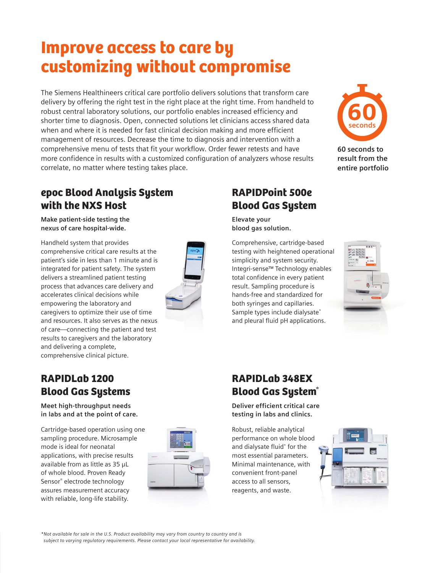# Improve access to care by customizing without compromise

The Siemens Healthineers critical care portfolio delivers solutions that transform care delivery by offering the right test in the right place at the right time. From handheld to robust central laboratory solutions, our portfolio enables increased efficiency and shorter time to diagnosis. Open, connected solutions let clinicians access shared data when and where it is needed for fast clinical decision making and more efficient management of resources. Decrease the time to diagnosis and intervention with a comprehensive menu of tests that fit your workflow. Order fewer retests and have more confidence in results with a customized configuration of analyzers whose results correlate, no matter where testing takes place.

### epoc Blood Analysis System with the NXS Host

**Make patient-side testing the nexus of care hospital-wide.**

Handheld system that provides comprehensive critical care results at the patient's side in less than 1 minute and is integrated for patient safety. The system delivers a streamlined patient testing process that advances care delivery and accelerates clinical decisions while empowering the laboratory and caregivers to optimize their use of time and resources. It also serves as the nexus of care—connecting the patient and test results to caregivers and the laboratory and delivering a complete, comprehensive clinical picture.



# RAPIDPoint 500e

**Elevate your blood gas solution.**

Comprehensive, cartridge-based testing with heightened operational



### RAPIDLab 348EX **Blood Gas System\***

**Deliver efficient critical care testing in labs and clinics.**

Robust, reliable analytical performance on whole blood and dialysate fluid\* for the most essential parameters. Minimal maintenance, with convenient front-panel access to all sensors, reagents, and waste.



### RAPIDLab 1200 Blood Gas Systems

**Meet high-throughput needs in labs and at the point of care.**

Cartridge-based operation using one sampling procedure. Microsample mode is ideal for neonatal applications, with precise results available from as little as 35 µL of whole blood. Proven Ready Sensor® electrode technology assures measurement accuracy with reliable, long-life stability.



*\*Not available for sale in the U.S. Product availability may vary from country to country and is subject to varying regulatory requirements. Please contact your local representative for availability.*

# Blood Gas System

simplicity and system security. Integri-sense™ Technology enables total confidence in every patient result. Sampling procedure is hands-free and standardized for both syringes and capillaries. Sample types include dialysate<sup>\*</sup> and pleural fluid pH applications.





**60 seconds to result from the entire portfolio**